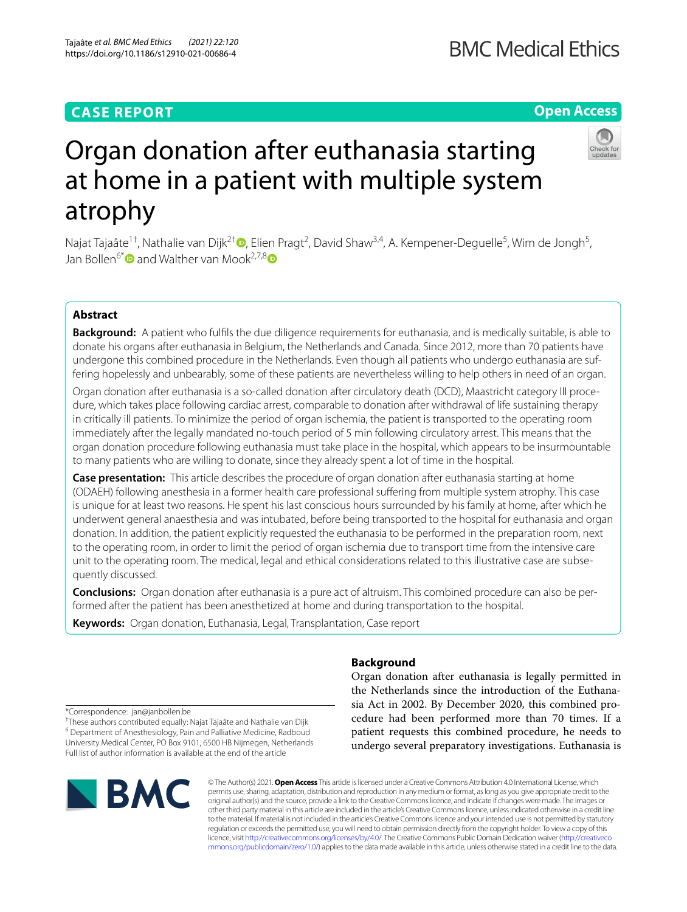# **CASE REPORT**

# **BMC Medical Ethics**

# **Open Access**



# Organ donation after euthanasia starting at home in a patient with multiple system atrophy

Najat Tajaâte<sup>1†</sup>[,](https://orcid.org/0000-0003-2900-9538) Nathalie van Dijk<sup>2†</sup>®, Elien Pragt<sup>2</sup>, David Shaw<sup>3,4</sup>, A. Kempener-Deguelle<sup>5</sup>, Wim de Jongh<sup>5</sup>, Jan Bollen<sup>6[\\*](http://orcid.org/0000-0002-2467-9826)</sup> and Walther van Mook<sup>2,7,[8](https://orcid.org/0000-0003-2398-8878)</sup>

# **Abstract**

**Background:** A patient who fulfls the due diligence requirements for euthanasia, and is medically suitable, is able to donate his organs after euthanasia in Belgium, the Netherlands and Canada. Since 2012, more than 70 patients have undergone this combined procedure in the Netherlands. Even though all patients who undergo euthanasia are suffering hopelessly and unbearably, some of these patients are nevertheless willing to help others in need of an organ.

Organ donation after euthanasia is a so-called donation after circulatory death (DCD), Maastricht category III procedure, which takes place following cardiac arrest, comparable to donation after withdrawal of life sustaining therapy in critically ill patients. To minimize the period of organ ischemia, the patient is transported to the operating room immediately after the legally mandated no-touch period of 5 min following circulatory arrest. This means that the organ donation procedure following euthanasia must take place in the hospital, which appears to be insurmountable to many patients who are willing to donate, since they already spent a lot of time in the hospital.

**Case presentation:** This article describes the procedure of organ donation after euthanasia starting at home (ODAEH) following anesthesia in a former health care professional sufering from multiple system atrophy. This case is unique for at least two reasons. He spent his last conscious hours surrounded by his family at home, after which he underwent general anaesthesia and was intubated, before being transported to the hospital for euthanasia and organ donation. In addition, the patient explicitly requested the euthanasia to be performed in the preparation room, next to the operating room, in order to limit the period of organ ischemia due to transport time from the intensive care unit to the operating room. The medical, legal and ethical considerations related to this illustrative case are subsequently discussed.

**Conclusions:** Organ donation after euthanasia is a pure act of altruism. This combined procedure can also be per‑ formed after the patient has been anesthetized at home and during transportation to the hospital.

**Keywords:** Organ donation, Euthanasia, Legal, Transplantation, Case report

# **Background**

Organ donation after euthanasia is legally permitted in the Netherlands since the introduction of the Euthanasia Act in 2002. By December 2020, this combined procedure had been performed more than 70 times. If a patient requests this combined procedure, he needs to undergo several preparatory investigations. Euthanasia is

\*Correspondence: jan@janbollen.be

† These authors contributed equally: Najat Tajaâte and Nathalie van Dijk <sup>6</sup> Department of Anesthesiology, Pain and Palliative Medicine, Radboud University Medical Center, PO Box 9101, 6500 HB Nijmegen, Netherlands Full list of author information is available at the end of the article



© The Author(s) 2021. **Open Access** This article is licensed under a Creative Commons Attribution 4.0 International License, which permits use, sharing, adaptation, distribution and reproduction in any medium or format, as long as you give appropriate credit to the original author(s) and the source, provide a link to the Creative Commons licence, and indicate if changes were made. The images or other third party material in this article are included in the article's Creative Commons licence, unless indicated otherwise in a credit line to the material. If material is not included in the article's Creative Commons licence and your intended use is not permitted by statutory regulation or exceeds the permitted use, you will need to obtain permission directly from the copyright holder. To view a copy of this licence, visit [http://creativecommons.org/licenses/by/4.0/.](http://creativecommons.org/licenses/by/4.0/) The Creative Commons Public Domain Dedication waiver ([http://creativeco](http://creativecommons.org/publicdomain/zero/1.0/) [mmons.org/publicdomain/zero/1.0/](http://creativecommons.org/publicdomain/zero/1.0/)) applies to the data made available in this article, unless otherwise stated in a credit line to the data.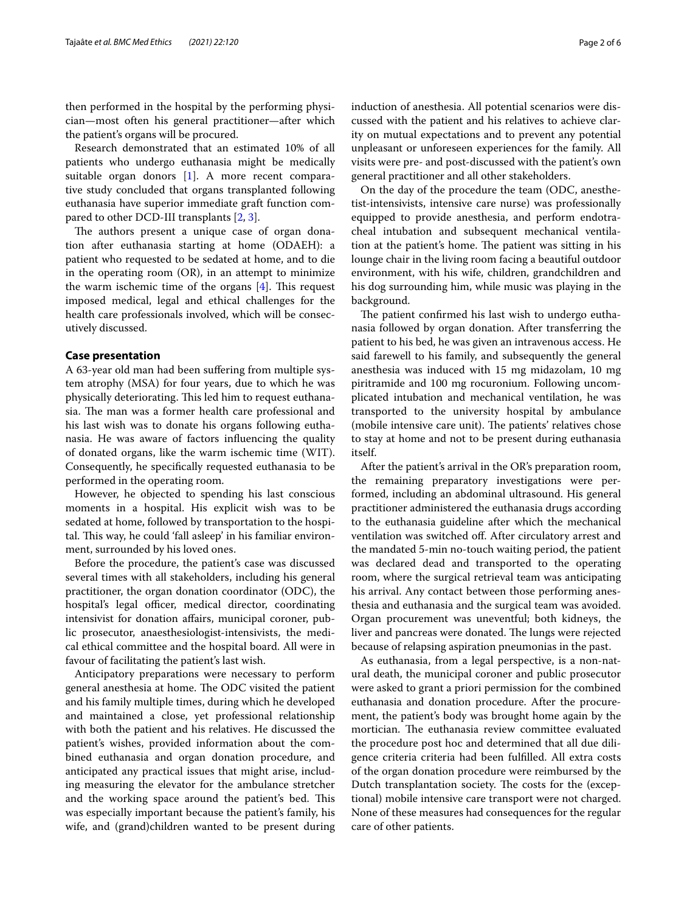then performed in the hospital by the performing physician—most often his general practitioner—after which the patient's organs will be procured.

Research demonstrated that an estimated 10% of all patients who undergo euthanasia might be medically suitable organ donors [\[1](#page-4-0)]. A more recent comparative study concluded that organs transplanted following euthanasia have superior immediate graft function compared to other DCD-III transplants [[2,](#page-4-1) [3](#page-5-0)].

The authors present a unique case of organ donation after euthanasia starting at home (ODAEH): a patient who requested to be sedated at home, and to die in the operating room (OR), in an attempt to minimize the warm ischemic time of the organs  $[4]$  $[4]$ . This request imposed medical, legal and ethical challenges for the health care professionals involved, which will be consecutively discussed.

### **Case presentation**

A 63-year old man had been sufering from multiple system atrophy (MSA) for four years, due to which he was physically deteriorating. This led him to request euthanasia. The man was a former health care professional and his last wish was to donate his organs following euthanasia. He was aware of factors infuencing the quality of donated organs, like the warm ischemic time (WIT). Consequently, he specifcally requested euthanasia to be performed in the operating room.

However, he objected to spending his last conscious moments in a hospital. His explicit wish was to be sedated at home, followed by transportation to the hospital. This way, he could 'fall asleep' in his familiar environment, surrounded by his loved ones.

Before the procedure, the patient's case was discussed several times with all stakeholders, including his general practitioner, the organ donation coordinator (ODC), the hospital's legal officer, medical director, coordinating intensivist for donation afairs, municipal coroner, public prosecutor, anaesthesiologist-intensivists, the medical ethical committee and the hospital board. All were in favour of facilitating the patient's last wish.

Anticipatory preparations were necessary to perform general anesthesia at home. The ODC visited the patient and his family multiple times, during which he developed and maintained a close, yet professional relationship with both the patient and his relatives. He discussed the patient's wishes, provided information about the combined euthanasia and organ donation procedure, and anticipated any practical issues that might arise, including measuring the elevator for the ambulance stretcher and the working space around the patient's bed. This was especially important because the patient's family, his wife, and (grand)children wanted to be present during induction of anesthesia. All potential scenarios were discussed with the patient and his relatives to achieve clarity on mutual expectations and to prevent any potential unpleasant or unforeseen experiences for the family. All visits were pre- and post-discussed with the patient's own general practitioner and all other stakeholders.

On the day of the procedure the team (ODC, anesthetist-intensivists, intensive care nurse) was professionally equipped to provide anesthesia, and perform endotracheal intubation and subsequent mechanical ventilation at the patient's home. The patient was sitting in his lounge chair in the living room facing a beautiful outdoor environment, with his wife, children, grandchildren and his dog surrounding him, while music was playing in the background.

The patient confirmed his last wish to undergo euthanasia followed by organ donation. After transferring the patient to his bed, he was given an intravenous access. He said farewell to his family, and subsequently the general anesthesia was induced with 15 mg midazolam, 10 mg piritramide and 100 mg rocuronium. Following uncomplicated intubation and mechanical ventilation, he was transported to the university hospital by ambulance (mobile intensive care unit). The patients' relatives chose to stay at home and not to be present during euthanasia itself.

After the patient's arrival in the OR's preparation room, the remaining preparatory investigations were performed, including an abdominal ultrasound. His general practitioner administered the euthanasia drugs according to the euthanasia guideline after which the mechanical ventilation was switched off. After circulatory arrest and the mandated 5-min no-touch waiting period, the patient was declared dead and transported to the operating room, where the surgical retrieval team was anticipating his arrival. Any contact between those performing anesthesia and euthanasia and the surgical team was avoided. Organ procurement was uneventful; both kidneys, the liver and pancreas were donated. The lungs were rejected because of relapsing aspiration pneumonias in the past.

As euthanasia, from a legal perspective, is a non-natural death, the municipal coroner and public prosecutor were asked to grant a priori permission for the combined euthanasia and donation procedure. After the procurement, the patient's body was brought home again by the mortician. The euthanasia review committee evaluated the procedure post hoc and determined that all due diligence criteria criteria had been fulflled. All extra costs of the organ donation procedure were reimbursed by the Dutch transplantation society. The costs for the (exceptional) mobile intensive care transport were not charged. None of these measures had consequences for the regular care of other patients.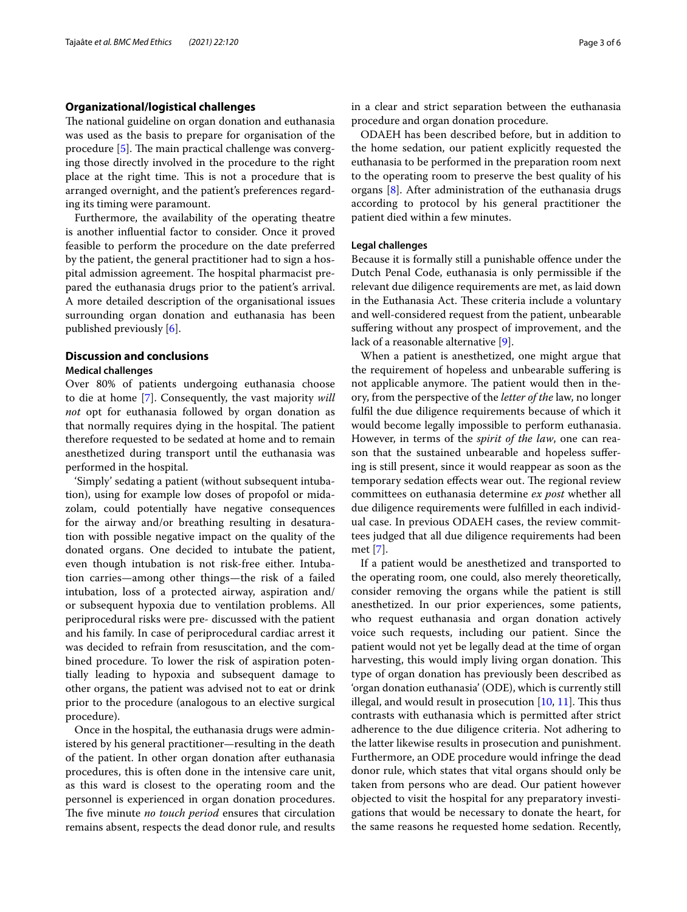# **Organizational/logistical challenges**

The national guideline on organ donation and euthanasia was used as the basis to prepare for organisation of the procedure  $[5]$  $[5]$ . The main practical challenge was converging those directly involved in the procedure to the right place at the right time. This is not a procedure that is arranged overnight, and the patient's preferences regarding its timing were paramount.

Furthermore, the availability of the operating theatre is another infuential factor to consider. Once it proved feasible to perform the procedure on the date preferred by the patient, the general practitioner had to sign a hospital admission agreement. The hospital pharmacist prepared the euthanasia drugs prior to the patient's arrival. A more detailed description of the organisational issues surrounding organ donation and euthanasia has been published previously [[6\]](#page-5-3).

# **Discussion and conclusions**

# **Medical challenges**

Over 80% of patients undergoing euthanasia choose to die at home [[7](#page-5-4)]. Consequently, the vast majority *will not* opt for euthanasia followed by organ donation as that normally requires dying in the hospital. The patient therefore requested to be sedated at home and to remain anesthetized during transport until the euthanasia was performed in the hospital.

'Simply' sedating a patient (without subsequent intubation), using for example low doses of propofol or midazolam, could potentially have negative consequences for the airway and/or breathing resulting in desaturation with possible negative impact on the quality of the donated organs. One decided to intubate the patient, even though intubation is not risk-free either. Intubation carries—among other things—the risk of a failed intubation, loss of a protected airway, aspiration and/ or subsequent hypoxia due to ventilation problems. All periprocedural risks were pre- discussed with the patient and his family. In case of periprocedural cardiac arrest it was decided to refrain from resuscitation, and the combined procedure. To lower the risk of aspiration potentially leading to hypoxia and subsequent damage to other organs, the patient was advised not to eat or drink prior to the procedure (analogous to an elective surgical procedure).

Once in the hospital, the euthanasia drugs were administered by his general practitioner—resulting in the death of the patient. In other organ donation after euthanasia procedures, this is often done in the intensive care unit, as this ward is closest to the operating room and the personnel is experienced in organ donation procedures. The five minute *no touch period* ensures that circulation remains absent, respects the dead donor rule, and results in a clear and strict separation between the euthanasia procedure and organ donation procedure.

ODAEH has been described before, but in addition to the home sedation, our patient explicitly requested the euthanasia to be performed in the preparation room next to the operating room to preserve the best quality of his organs [[8](#page-5-5)]. After administration of the euthanasia drugs according to protocol by his general practitioner the patient died within a few minutes.

# **Legal challenges**

Because it is formally still a punishable ofence under the Dutch Penal Code, euthanasia is only permissible if the relevant due diligence requirements are met, as laid down in the Euthanasia Act. These criteria include a voluntary and well-considered request from the patient, unbearable sufering without any prospect of improvement, and the lack of a reasonable alternative [\[9](#page-5-6)].

When a patient is anesthetized, one might argue that the requirement of hopeless and unbearable sufering is not applicable anymore. The patient would then in theory, from the perspective of the *letter of the* law, no longer fulfl the due diligence requirements because of which it would become legally impossible to perform euthanasia. However, in terms of the *spirit of the law*, one can reason that the sustained unbearable and hopeless sufering is still present, since it would reappear as soon as the temporary sedation effects wear out. The regional review committees on euthanasia determine *ex post* whether all due diligence requirements were fulflled in each individual case. In previous ODAEH cases, the review committees judged that all due diligence requirements had been met [\[7](#page-5-4)].

If a patient would be anesthetized and transported to the operating room, one could, also merely theoretically, consider removing the organs while the patient is still anesthetized. In our prior experiences, some patients, who request euthanasia and organ donation actively voice such requests, including our patient. Since the patient would not yet be legally dead at the time of organ harvesting, this would imply living organ donation. This type of organ donation has previously been described as 'organ donation euthanasia' (ODE), which is currently still illegal, and would result in prosecution  $[10, 11]$  $[10, 11]$  $[10, 11]$ . This thus contrasts with euthanasia which is permitted after strict adherence to the due diligence criteria. Not adhering to the latter likewise results in prosecution and punishment. Furthermore, an ODE procedure would infringe the dead donor rule, which states that vital organs should only be taken from persons who are dead. Our patient however objected to visit the hospital for any preparatory investigations that would be necessary to donate the heart, for the same reasons he requested home sedation. Recently,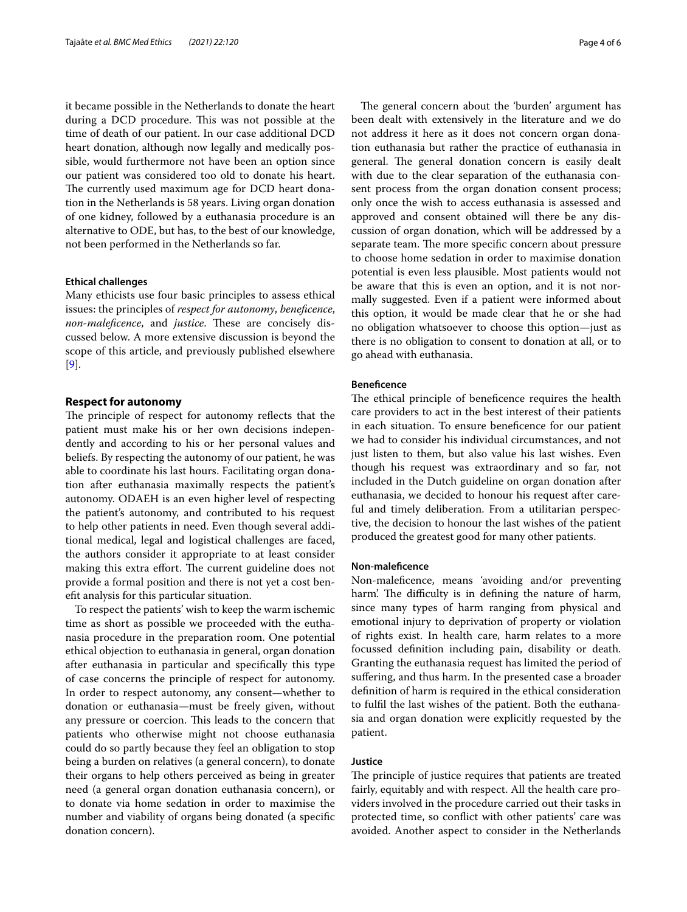it became possible in the Netherlands to donate the heart during a DCD procedure. This was not possible at the time of death of our patient. In our case additional DCD heart donation, although now legally and medically possible, would furthermore not have been an option since our patient was considered too old to donate his heart. The currently used maximum age for DCD heart donation in the Netherlands is 58 years. Living organ donation of one kidney, followed by a euthanasia procedure is an alternative to ODE, but has, to the best of our knowledge, not been performed in the Netherlands so far.

### **Ethical challenges**

Many ethicists use four basic principles to assess ethical issues: the principles of *respect for autonomy*, *benefcence*, *non-maleficence*, and *justice*. These are concisely discussed below. A more extensive discussion is beyond the scope of this article, and previously published elsewhere [[9\]](#page-5-6).

# **Respect for autonomy**

The principle of respect for autonomy reflects that the patient must make his or her own decisions independently and according to his or her personal values and beliefs. By respecting the autonomy of our patient, he was able to coordinate his last hours. Facilitating organ donation after euthanasia maximally respects the patient's autonomy. ODAEH is an even higher level of respecting the patient's autonomy, and contributed to his request to help other patients in need. Even though several additional medical, legal and logistical challenges are faced, the authors consider it appropriate to at least consider making this extra effort. The current guideline does not provide a formal position and there is not yet a cost beneft analysis for this particular situation.

To respect the patients' wish to keep the warm ischemic time as short as possible we proceeded with the euthanasia procedure in the preparation room. One potential ethical objection to euthanasia in general, organ donation after euthanasia in particular and specifcally this type of case concerns the principle of respect for autonomy. In order to respect autonomy, any consent—whether to donation or euthanasia—must be freely given, without any pressure or coercion. This leads to the concern that patients who otherwise might not choose euthanasia could do so partly because they feel an obligation to stop being a burden on relatives (a general concern), to donate their organs to help others perceived as being in greater need (a general organ donation euthanasia concern), or to donate via home sedation in order to maximise the number and viability of organs being donated (a specifc donation concern).

The general concern about the 'burden' argument has been dealt with extensively in the literature and we do not address it here as it does not concern organ donation euthanasia but rather the practice of euthanasia in general. The general donation concern is easily dealt with due to the clear separation of the euthanasia consent process from the organ donation consent process; only once the wish to access euthanasia is assessed and approved and consent obtained will there be any discussion of organ donation, which will be addressed by a separate team. The more specific concern about pressure to choose home sedation in order to maximise donation potential is even less plausible. Most patients would not be aware that this is even an option, and it is not normally suggested. Even if a patient were informed about this option, it would be made clear that he or she had no obligation whatsoever to choose this option—just as there is no obligation to consent to donation at all, or to go ahead with euthanasia.

## **Benefcence**

The ethical principle of beneficence requires the health care providers to act in the best interest of their patients in each situation. To ensure benefcence for our patient we had to consider his individual circumstances, and not just listen to them, but also value his last wishes. Even though his request was extraordinary and so far, not included in the Dutch guideline on organ donation after euthanasia, we decided to honour his request after careful and timely deliberation. From a utilitarian perspective, the decision to honour the last wishes of the patient produced the greatest good for many other patients.

# **Non‑malefcence**

Non-malefcence, means 'avoiding and/or preventing harm'. The difficulty is in defining the nature of harm, since many types of harm ranging from physical and emotional injury to deprivation of property or violation of rights exist. In health care, harm relates to a more focussed defnition including pain, disability or death. Granting the euthanasia request has limited the period of suffering, and thus harm. In the presented case a broader defnition of harm is required in the ethical consideration to fulfl the last wishes of the patient. Both the euthanasia and organ donation were explicitly requested by the patient.

#### **Justice**

The principle of justice requires that patients are treated fairly, equitably and with respect. All the health care providers involved in the procedure carried out their tasks in protected time, so confict with other patients' care was avoided. Another aspect to consider in the Netherlands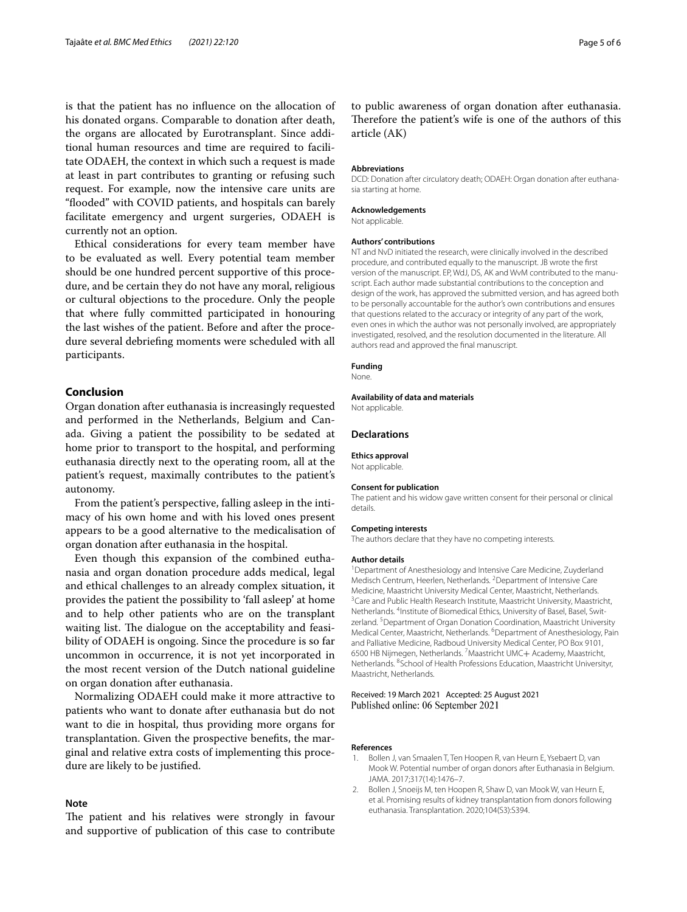is that the patient has no infuence on the allocation of his donated organs. Comparable to donation after death, the organs are allocated by Eurotransplant. Since additional human resources and time are required to facilitate ODAEH, the context in which such a request is made at least in part contributes to granting or refusing such request. For example, now the intensive care units are "fooded" with COVID patients, and hospitals can barely facilitate emergency and urgent surgeries, ODAEH is currently not an option.

Ethical considerations for every team member have to be evaluated as well. Every potential team member should be one hundred percent supportive of this procedure, and be certain they do not have any moral, religious or cultural objections to the procedure. Only the people that where fully committed participated in honouring the last wishes of the patient. Before and after the procedure several debriefng moments were scheduled with all participants.

# **Conclusion**

Organ donation after euthanasia is increasingly requested and performed in the Netherlands, Belgium and Canada. Giving a patient the possibility to be sedated at home prior to transport to the hospital, and performing euthanasia directly next to the operating room, all at the patient's request, maximally contributes to the patient's autonomy.

From the patient's perspective, falling asleep in the intimacy of his own home and with his loved ones present appears to be a good alternative to the medicalisation of organ donation after euthanasia in the hospital.

Even though this expansion of the combined euthanasia and organ donation procedure adds medical, legal and ethical challenges to an already complex situation, it provides the patient the possibility to 'fall asleep' at home and to help other patients who are on the transplant waiting list. The dialogue on the acceptability and feasibility of ODAEH is ongoing. Since the procedure is so far uncommon in occurrence, it is not yet incorporated in the most recent version of the Dutch national guideline on organ donation after euthanasia.

Normalizing ODAEH could make it more attractive to patients who want to donate after euthanasia but do not want to die in hospital, thus providing more organs for transplantation. Given the prospective benefts, the marginal and relative extra costs of implementing this procedure are likely to be justifed.

# **Note**

The patient and his relatives were strongly in favour and supportive of publication of this case to contribute

to public awareness of organ donation after euthanasia. Therefore the patient's wife is one of the authors of this article (AK)

#### **Abbreviations**

DCD: Donation after circulatory death; ODAEH: Organ donation after euthanasia starting at home.

#### **Acknowledgements**

Not applicable.

#### **Authors' contributions**

NT and NvD initiated the research, were clinically involved in the described procedure, and contributed equally to the manuscript. JB wrote the frst version of the manuscript. EP, WdJ, DS, AK and WvM contributed to the manuscript. Each author made substantial contributions to the conception and design of the work, has approved the submitted version, and has agreed both to be personally accountable for the author's own contributions and ensures that questions related to the accuracy or integrity of any part of the work, even ones in which the author was not personally involved, are appropriately investigated, resolved, and the resolution documented in the literature. All authors read and approved the fnal manuscript.

#### **Funding**

None.

### **Availability of data and materials**

Not applicable.

#### **Declarations**

**Ethics approval** Not applicable.

#### **Consent for publication**

The patient and his widow gave written consent for their personal or clinical details.

#### **Competing interests**

The authors declare that they have no competing interests.

#### **Author details**

<sup>1</sup> Department of Anesthesiology and Intensive Care Medicine, Zuyderland Medisch Centrum, Heerlen, Netherlands. <sup>2</sup> Department of Intensive Care Medicine, Maastricht University Medical Center, Maastricht, Netherlands. <sup>3</sup> Care and Public Health Research Institute, Maastricht University, Maastricht, Netherlands. <sup>4</sup>Institute of Biomedical Ethics, University of Basel, Basel, Switzerland. <sup>5</sup> Department of Organ Donation Coordination, Maastricht University Medical Center, Maastricht, Netherlands. <sup>6</sup> Department of Anesthesiology, Pain and Palliative Medicine, Radboud University Medical Center, PO Box 9101, 6500 HB Nijmegen, Netherlands. 7 Maastricht UMC+ Academy, Maastricht, Netherlands. 8 School of Health Professions Education, Maastricht Universityr, Maastricht, Netherlands.

#### Received: 19 March 2021 Accepted: 25 August 2021 Published online: 06 September 2021

#### **References**

- <span id="page-4-0"></span>1. Bollen J, van Smaalen T, Ten Hoopen R, van Heurn E, Ysebaert D, van Mook W. Potential number of organ donors after Euthanasia in Belgium. JAMA. 2017;317(14):1476–7.
- <span id="page-4-1"></span>2. Bollen J, Snoeijs M, ten Hoopen R, Shaw D, van Mook W, van Heurn E, et al. Promising results of kidney transplantation from donors following euthanasia. Transplantation. 2020;104(S3):S394.